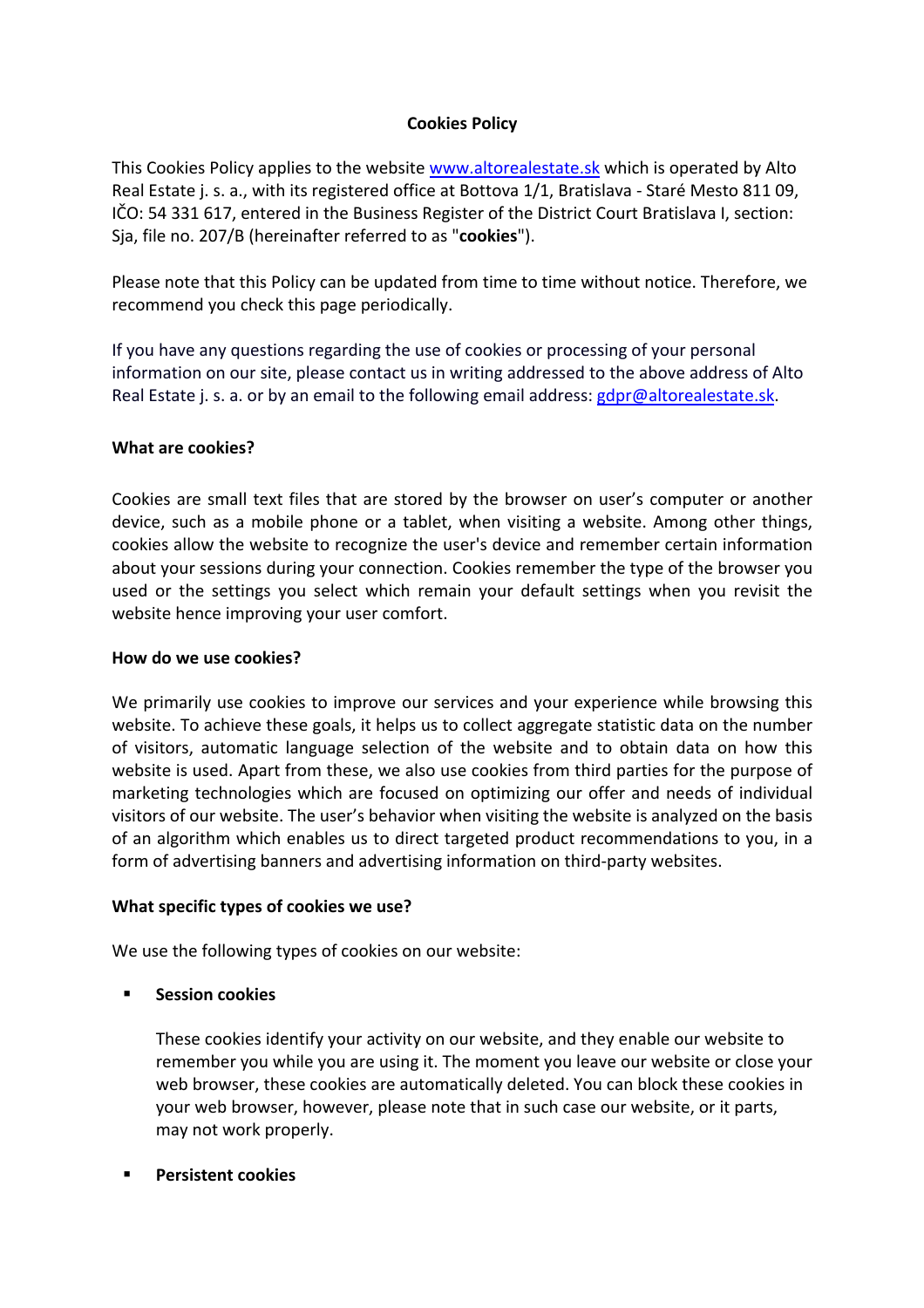# **Cookies Policy**

This Cookies Policy applies to the website www.altorealestate.sk which is operated by Alto Real Estate j. s. a., with its registered office at Bottova 1/1, Bratislava - Staré Mesto 811 09, IČO: 54 331 617, entered in the Business Register of the District Court Bratislava I, section: Sja, file no. 207/B (hereinafter referred to as "**cookies**").

Please note that this Policy can be updated from time to time without notice. Therefore, we recommend you check this page periodically.

If you have any questions regarding the use of cookies or processing of your personal information on our site, please contact us in writing addressed to the above address of Alto Real Estate j. s. a. or by an email to the following email address: gdpr@altorealestate.sk.

# **What are cookies?**

Cookies are small text files that are stored by the browser on user's computer or another device, such as a mobile phone or a tablet, when visiting a website. Among other things, cookies allow the website to recognize the user's device and remember certain information about your sessions during your connection. Cookies remember the type of the browser you used or the settings you select which remain your default settings when you revisit the website hence improving your user comfort.

## **How do we use cookies?**

We primarily use cookies to improve our services and your experience while browsing this website. To achieve these goals, it helps us to collect aggregate statistic data on the number of visitors, automatic language selection of the website and to obtain data on how this website is used. Apart from these, we also use cookies from third parties for the purpose of marketing technologies which are focused on optimizing our offer and needs of individual visitors of our website. The user's behavior when visiting the website is analyzed on the basis of an algorithm which enables us to direct targeted product recommendations to you, in a form of advertising banners and advertising information on third-party websites.

## **What specific types of cookies we use?**

We use the following types of cookies on our website:

## § **Session cookies**

These cookies identify your activity on our website, and they enable our website to remember you while you are using it. The moment you leave our website or close your web browser, these cookies are automatically deleted. You can block these cookies in your web browser, however, please note that in such case our website, or it parts, may not work properly.

§ **Persistent cookies**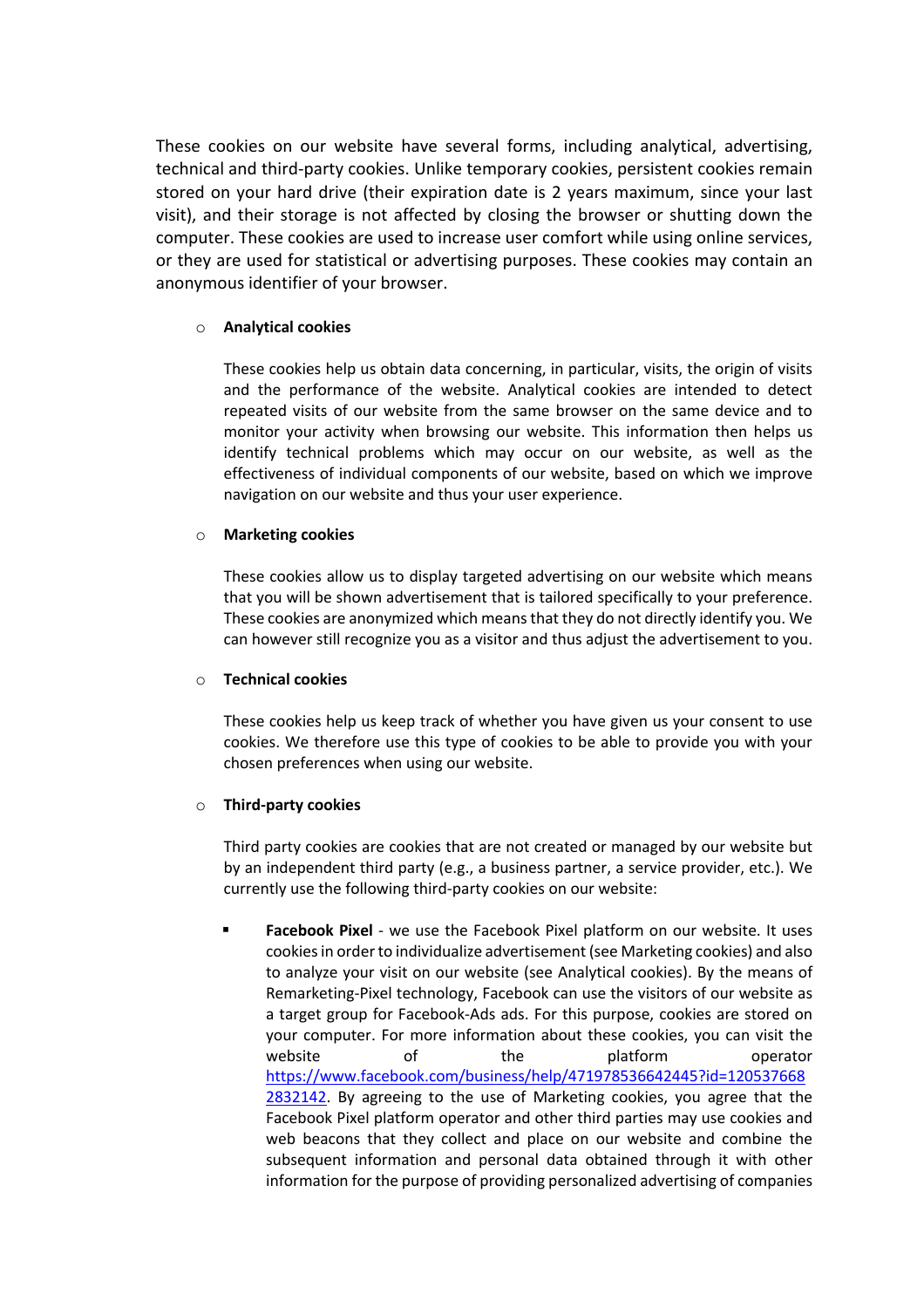These cookies on our website have several forms, including analytical, advertising, technical and third-party cookies. Unlike temporary cookies, persistent cookies remain stored on your hard drive (their expiration date is 2 years maximum, since your last visit), and their storage is not affected by closing the browser or shutting down the computer. These cookies are used to increase user comfort while using online services, or they are used for statistical or advertising purposes. These cookies may contain an anonymous identifier of your browser.

### o **Analytical cookies**

These cookies help us obtain data concerning, in particular, visits, the origin of visits and the performance of the website. Analytical cookies are intended to detect repeated visits of our website from the same browser on the same device and to monitor your activity when browsing our website. This information then helps us identify technical problems which may occur on our website, as well as the effectiveness of individual components of our website, based on which we improve navigation on our website and thus your user experience.

### o **Marketing cookies**

These cookies allow us to display targeted advertising on our website which means that you will be shown advertisement that is tailored specifically to your preference. These cookies are anonymized which means that they do not directly identify you. We can however still recognize you as a visitor and thus adjust the advertisement to you.

### o **Technical cookies**

These cookies help us keep track of whether you have given us your consent to use cookies. We therefore use this type of cookies to be able to provide you with your chosen preferences when using our website.

### o **Third-party cookies**

Third party cookies are cookies that are not created or managed by our website but by an independent third party (e.g., a business partner, a service provider, etc.). We currently use the following third-party cookies on our website:

§ **Facebook Pixel** - we use the Facebook Pixel platform on our website. It uses cookies in order to individualize advertisement (see Marketing cookies) and also to analyze your visit on our website (see Analytical cookies). By the means of Remarketing-Pixel technology, Facebook can use the visitors of our website as a target group for Facebook-Ads ads. For this purpose, cookies are stored on your computer. For more information about these cookies, you can visit the website of the platform operator https://www.facebook.com/business/help/471978536642445?id=120537668 2832142. By agreeing to the use of Marketing cookies, you agree that the Facebook Pixel platform operator and other third parties may use cookies and web beacons that they collect and place on our website and combine the subsequent information and personal data obtained through it with other information for the purpose of providing personalized advertising of companies